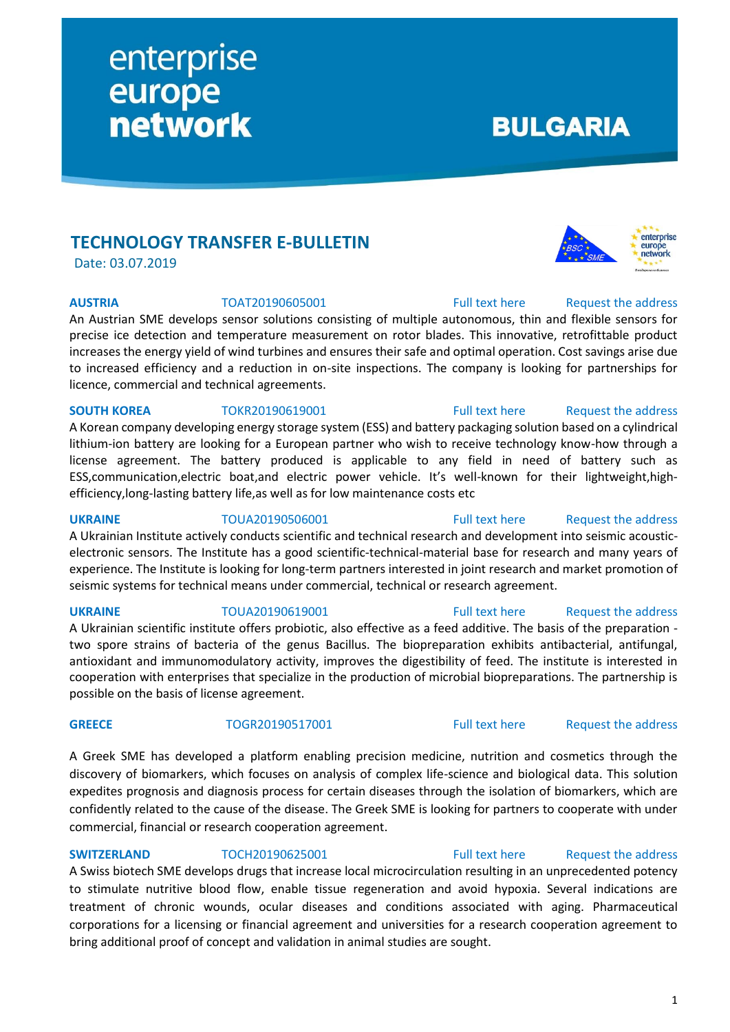## **TECHNOLOGY TRANSFER E-BULLETIN**

enterprise

**network** 

europe

Date: 03.07.2019

**AUSTRIA** TOAT20190605001 [Full text here](https://een.ec.europa.eu/tools/services/PRO/Profile/Detail/9bfbb2a2-fb4e-4e91-b2df-b9755a7fc7d8) Request the address

An Austrian SME develops sensor solutions consisting of multiple autonomous, thin and flexible sensors for precise ice detection and temperature measurement on rotor blades. This innovative, retrofittable product increases the energy yield of wind turbines and ensures their safe and optimal operation. Cost savings arise due to increased efficiency and a reduction in on-site inspections. The company is looking for partnerships for licence, commercial and technical agreements.

## **SOUTH KOREA** TOKR20190619001 [Full text here](https://een.ec.europa.eu/tools/services/PRO/Profile/Detail/42f6798e-b08f-49ca-bd83-8fd388f824d3) Request the address

A Korean company developing energy storage system (ESS) and battery packaging solution based on a cylindrical lithium-ion battery are looking for a European partner who wish to receive technology know-how through a license agreement. The battery produced is applicable to any field in need of battery such as ESS,communication,electric boat,and electric power vehicle. It's well-known for their lightweight,highefficiency,long-lasting battery life,as well as for low maintenance costs etc

**UKRAINE** TOUA20190506001 [Full text here](https://een.ec.europa.eu/tools/services/PRO/Profile/Detail/7030e355-eeb9-4967-aa32-79a70b094066) Request the address A Ukrainian Institute actively conducts scientific and technical research and development into seismic acousticelectronic sensors. The Institute has a good scientific-technical-material base for research and many years of experience. The Institute is looking for long-term partners interested in joint research and market promotion of seismic systems for technical means under commercial, technical or research agreement.

A Ukrainian scientific institute offers probiotic, also effective as a feed additive. The basis of the preparation two spore strains of bacteria of the genus Bacillus. The biopreparation exhibits antibacterial, antifungal, antioxidant and immunomodulatory activity, improves the digestibility of feed. The institute is interested in cooperation with enterprises that specialize in the production of microbial biopreparations. The partnership is possible on the basis of license agreement.

A Greek SME has developed a platform enabling precision medicine, nutrition and cosmetics through the discovery of biomarkers, which focuses on analysis of complex life-science and biological data. This solution expedites prognosis and diagnosis process for certain diseases through the isolation of biomarkers, which are confidently related to the cause of the disease. The Greek SME is looking for partners to cooperate with under commercial, financial or research cooperation agreement.

## **SWITZERLAND** TOCH20190625001 [Full text here](https://een.ec.europa.eu/tools/services/PRO/Profile/Detail/1bd166b8-5355-4920-8b1c-51b430052808) Request the address

A Swiss biotech SME develops drugs that increase local microcirculation resulting in an unprecedented potency to stimulate nutritive blood flow, enable tissue regeneration and avoid hypoxia. Several indications are treatment of chronic wounds, ocular diseases and conditions associated with aging. Pharmaceutical corporations for a licensing or financial agreement and universities for a research cooperation agreement to bring additional proof of concept and validation in animal studies are sought.

## **UKRAINE** TOUA20190619001 [Full text here](https://een.ec.europa.eu/tools/services/PRO/Profile/Detail/597fd1c8-f77b-4348-99bb-c451a0106603) Request [the address](http://www.een.bg/index.php?option=com_rsform&formId=13)

## **GREECE** TOGR20190517001 [Full text here](https://een.ec.europa.eu/tools/services/PRO/Profile/Detail/6ec02e4b-82f1-46e9-9697-6230ce1fe434) Request [the address](http://www.een.bg/index.php?option=com_rsform&formId=13)





**BULGARIA** 

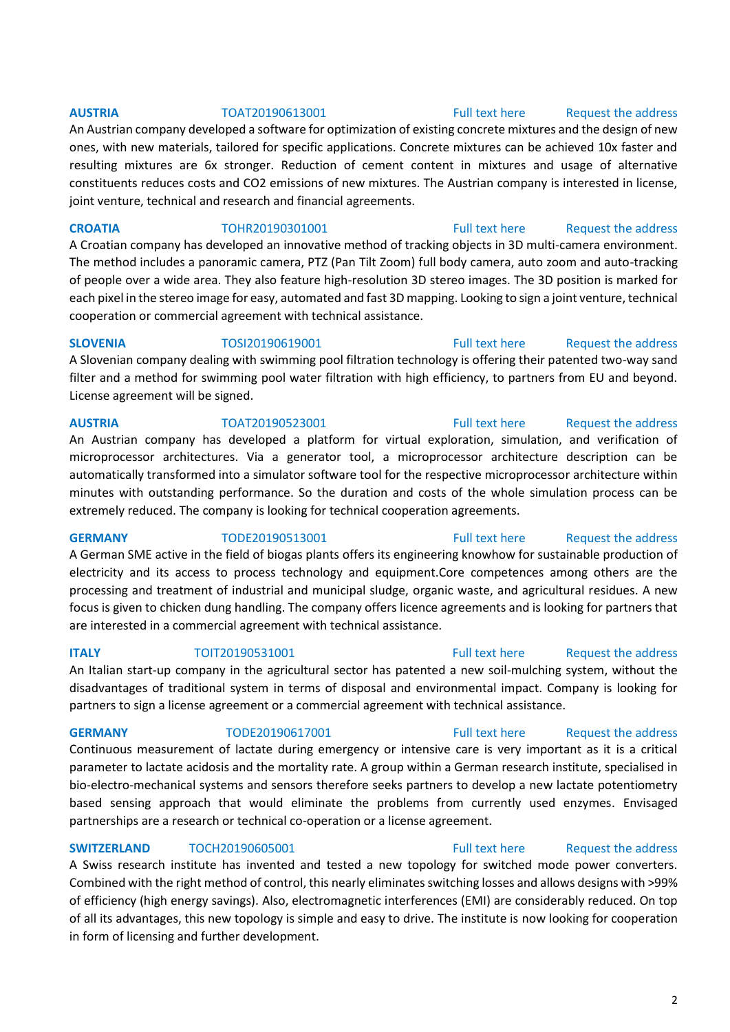## **AUSTRIA** TOAT20190613001 [Full text here](https://een.ec.europa.eu/tools/services/PRO/Profile/Detail/6bdb3bce-7407-4a26-aa05-6da39fa64915) Request [the address](http://www.een.bg/index.php?option=com_rsform&formId=13)

An Austrian company developed a software for optimization of existing concrete mixtures and the design of new ones, with new materials, tailored for specific applications. Concrete mixtures can be achieved 10x faster and resulting mixtures are 6x stronger. Reduction of cement content in mixtures and usage of alternative constituents reduces costs and CO2 emissions of new mixtures. The Austrian company is interested in license, joint venture, technical and research and financial agreements.

**CROATIA** TOHR20190301001 [Full text here](https://een.ec.europa.eu/tools/services/PRO/Profile/Detail/4cd47da2-fa9d-4367-a931-0feebd6da734) Request [the address](http://www.een.bg/index.php?option=com_rsform&formId=13) A Croatian company has developed an innovative method of tracking objects in 3D multi-camera environment. The method includes a panoramic camera, PTZ (Pan Tilt Zoom) full body camera, auto zoom and auto-tracking of people over a wide area. They also feature high-resolution 3D stereo images. The 3D position is marked for each pixel in the stereo image for easy, automated and fast 3D mapping. Looking to sign a joint venture, technical cooperation or commercial agreement with technical assistance.

**SLOVENIA** TOSI20190619001 [Full text here](https://een.ec.europa.eu/tools/services/PRO/Profile/Detail/e68a518f-e544-4710-9792-893d84061a94) Request [the address](http://www.een.bg/index.php?option=com_rsform&formId=13) A Slovenian company dealing with swimming pool filtration technology is offering their patented two-way sand filter and a method for swimming pool water filtration with high efficiency, to partners from EU and beyond. License agreement will be signed.

## **AUSTRIA** TOAT20190523001 [Full text here](https://een.ec.europa.eu/tools/services/PRO/Profile/Detail/05371207-5678-4939-97aa-f097d4e72aca) Request [the address](http://www.een.bg/index.php?option=com_rsform&formId=13)

An Austrian company has developed a platform for virtual exploration, simulation, and verification of microprocessor architectures. Via a generator tool, a microprocessor architecture description can be automatically transformed into a simulator software tool for the respective microprocessor architecture within minutes with outstanding performance. So the duration and costs of the whole simulation process can be extremely reduced. The company is looking for technical cooperation agreements.

A German SME active in the field of biogas plants offers its engineering knowhow for sustainable production of electricity and its access to process technology and equipment.Core competences among others are the processing and treatment of industrial and municipal sludge, organic waste, and agricultural residues. A new focus is given to chicken dung handling. The company offers licence agreements and is looking for partners that are interested in a commercial agreement with technical assistance.

An Italian start-up company in the agricultural sector has patented a new soil-mulching system, without the disadvantages of traditional system in terms of disposal and environmental impact. Company is looking for partners to sign a license agreement or a commercial agreement with technical assistance.

Continuous measurement of lactate during emergency or intensive care is very important as it is a critical parameter to lactate acidosis and the mortality rate. A group within a German research institute, specialised in bio-electro-mechanical systems and sensors therefore seeks partners to develop a new lactate potentiometry based sensing approach that would eliminate the problems from currently used enzymes. Envisaged partnerships are a research or technical co-operation or a license agreement.

## **SWITZERLAND** TOCH20190605001 **Full text here** Request the address

A Swiss research institute has invented and tested a new topology for switched mode power converters. Combined with the right method of control, this nearly eliminates switching losses and allows designs with >99% of efficiency (high energy savings). Also, electromagnetic interferences (EMI) are considerably reduced. On top of all its advantages, this new topology is simple and easy to drive. The institute is now looking for cooperation in form of licensing and further development.

## **GERMANY** TODE20190513001 [Full text here](https://een.ec.europa.eu/tools/services/PRO/Profile/Detail/419f7e95-55dd-472a-9398-6e63d53d31e6) Request the address

# **ITALY TOIT20190531001 TOIT20190531001 Full text here** Request the address

## **GERMANY** TODE20190617001 [Full text here](https://een.ec.europa.eu/tools/services/PRO/Profile/Detail/8d3ab7ed-ed4f-45fa-a8a6-09de85b9adc3) Request [the address](http://www.een.bg/index.php?option=com_rsform&formId=13)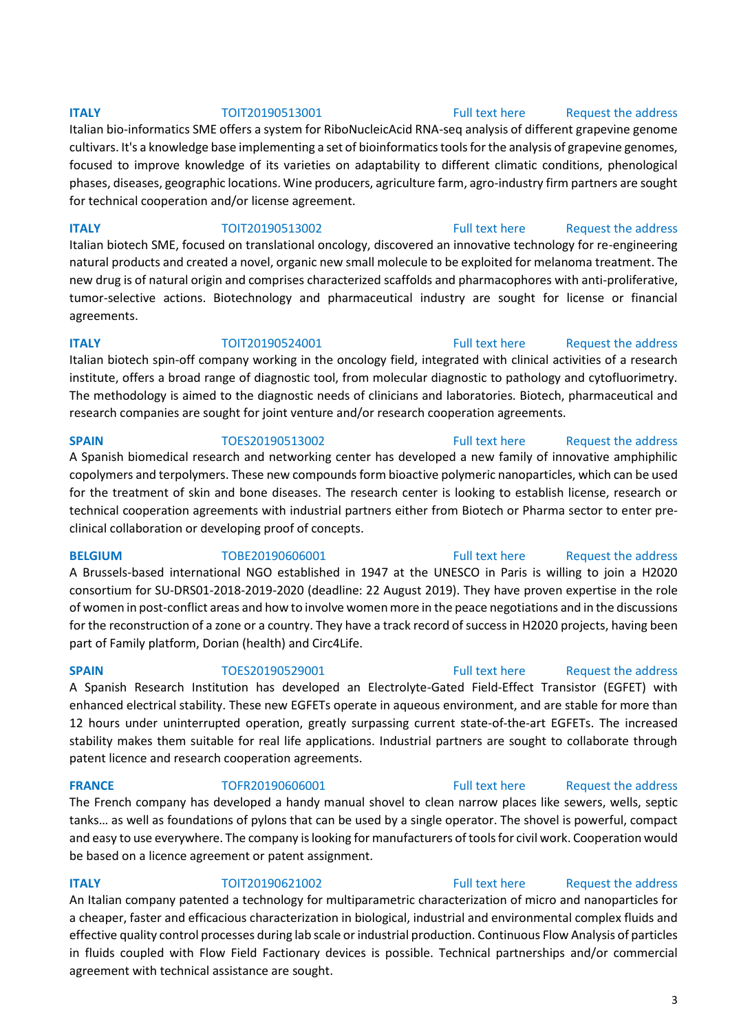## **ITALY TOIT20190513001** [Full text here](https://een.ec.europa.eu/tools/services/PRO/Profile/Detail/d67df830-c75d-4fed-8ac8-92d83927dc56) Request the address

Italian bio-informatics SME offers a system for RiboNucleicAcid RNA-seq analysis of different grapevine genome cultivars. It's a knowledge base implementing a set of bioinformatics tools for the analysis of grapevine genomes, focused to improve knowledge of its varieties on adaptability to different climatic conditions, phenological phases, diseases, geographic locations. Wine producers, agriculture farm, agro-industry firm partners are sought for technical cooperation and/or license agreement.

**ITALY TOIT20190513002** [Full text here](https://een.ec.europa.eu/tools/services/PRO/Profile/Detail/76c4d47b-d8ae-45c2-8cb2-5519bcfea40f) Request the address Italian biotech SME, focused on translational oncology, discovered an innovative technology for re-engineering natural products and created a novel, organic new small molecule to be exploited for melanoma treatment. The new drug is of natural origin and comprises characterized scaffolds and pharmacophores with anti-proliferative, tumor-selective actions. Biotechnology and pharmaceutical industry are sought for license or financial agreements.

**ITALY TOIT20190524001** [Full text here](https://een.ec.europa.eu/tools/services/PRO/Profile/Detail/c0cd577d-3505-4afe-b084-1d2c034dec08) Request the address Italian biotech spin-off company working in the oncology field, integrated with clinical activities of a research institute, offers a broad range of diagnostic tool, from molecular diagnostic to pathology and cytofluorimetry. The methodology is aimed to the diagnostic needs of clinicians and laboratories. Biotech, pharmaceutical and research companies are sought for joint venture and/or research cooperation agreements.

**SPAIN** TOES20190513002 [Full text here](https://een.ec.europa.eu/tools/services/PRO/Profile/Detail/549a06fa-4ce8-4b85-9110-3040be33ede6) Request the address A Spanish biomedical research and networking center has developed a new family of innovative amphiphilic copolymers and terpolymers. These new compounds form bioactive polymeric nanoparticles, which can be used for the treatment of skin and bone diseases. The research center is looking to establish license, research or technical cooperation agreements with industrial partners either from Biotech or Pharma sector to enter preclinical collaboration or developing proof of concepts.

A Brussels-based international NGO established in 1947 at the UNESCO in Paris is willing to join a H2020 consortium for SU-DRS01-2018-2019-2020 (deadline: 22 August 2019). They have proven expertise in the role of women in post-conflict areas and how to involve women more in the peace negotiations and in the discussions for the reconstruction of a zone or a country. They have a track record of success in H2020 projects, having been part of Family platform, Dorian (health) and Circ4Life.

A Spanish Research Institution has developed an Electrolyte-Gated Field-Effect Transistor (EGFET) with enhanced electrical stability. These new EGFETs operate in aqueous environment, and are stable for more than 12 hours under uninterrupted operation, greatly surpassing current state-of-the-art EGFETs. The increased stability makes them suitable for real life applications. Industrial partners are sought to collaborate through patent licence and research cooperation agreements.

**FRANCE** TOFR20190606001 [Full text here](https://een.ec.europa.eu/tools/services/PRO/Profile/Detail/63c80b6f-17ae-4569-a95b-dfb5b0278863) Request the address

The French company has developed a handy manual shovel to clean narrow places like sewers, wells, septic tanks… as well as foundations of pylons that can be used by a single operator. The shovel is powerful, compact and easy to use everywhere. The company is looking for manufacturers of tools for civil work. Cooperation would be based on a licence agreement or patent assignment.

**ITALY TOIT20190621002** [Full text here](https://een.ec.europa.eu/tools/services/PRO/Profile/Detail/ae8cca0a-be68-4793-9838-8b8ed4310090) Request the address An Italian company patented a technology for multiparametric characterization of micro and nanoparticles for a cheaper, faster and efficacious characterization in biological, industrial and environmental complex fluids and effective quality control processes during lab scale or industrial production. Continuous Flow Analysis of particles in fluids coupled with Flow Field Factionary devices is possible. Technical partnerships and/or commercial agreement with technical assistance are sought.

## **BELGIUM** TOBE20190606001 [Full text here](https://een.ec.europa.eu/tools/services/PRO/Profile/Detail/f5c3c129-af48-4c06-9174-a0865377022c) Request the address

## **SPAIN** TOES20190529001 [Full text here](https://een.ec.europa.eu/tools/services/PRO/Profile/Detail/b5daf0c8-cfd5-4265-8e3f-7fe9d67ed9e1) Request the address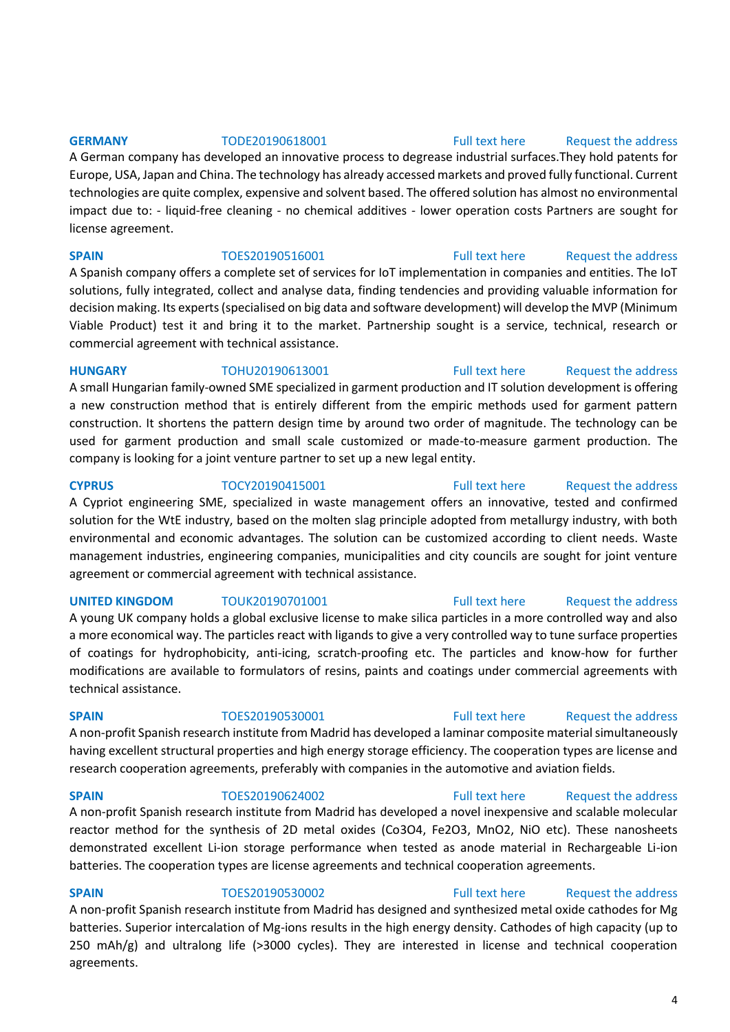A German company has developed an innovative process to degrease industrial surfaces.They hold patents for Europe, USA, Japan and China. The technology has already accessed markets and proved fully functional. Current technologies are quite complex, expensive and solvent based. The offered solution has almost no environmental impact due to: - liquid-free cleaning - no chemical additives - lower operation costs Partners are sought for license agreement.

## **SPAIN** TOES20190516001 [Full text here](https://een.ec.europa.eu/tools/services/PRO/Profile/Detail/d8c9686e-2025-4ef1-bb06-8139bf65a188) Request the address

A Spanish company offers a complete set of services for IoT implementation in companies and entities. The IoT solutions, fully integrated, collect and analyse data, finding tendencies and providing valuable information for decision making. Its experts (specialised on big data and software development) will develop the MVP (Minimum Viable Product) test it and bring it to the market. Partnership sought is a service, technical, research or commercial agreement with technical assistance.

**HUNGARY** TOHU20190613001 [Full text here](https://een.ec.europa.eu/tools/services/PRO/Profile/Detail/cf5f7524-9586-4032-8ba1-188fc471a014) [Request the address](http://www.een.bg/index.php?option=com_rsform&formId=13)  A small Hungarian family-owned SME specialized in garment production and IT solution development is offering a new construction method that is entirely different from the empiric methods used for garment pattern construction. It shortens the pattern design time by around two order of magnitude. The technology can be used for garment production and small scale customized or made-to-measure garment production. The company is looking for a joint venture partner to set up a new legal entity.

**CYPRUS** TOCY20190415001 [Full text here](https://een.ec.europa.eu/tools/services/PRO/Profile/Detail/0058df4c-806d-4f17-b708-43562fb198f7) Request the address Α Cypriot engineering SME, specialized in waste management offers an innovative, tested and confirmed solution for the WtE industry, based on the molten slag principle adopted from metallurgy industry, with both environmental and economic advantages. The solution can be customized according to client needs. Waste management industries, engineering companies, municipalities and city councils are sought for joint venture agreement or commercial agreement with technical assistance.

A young UK company holds a global exclusive license to make silica particles in a more controlled way and also a more economical way. The particles react with ligands to give a very controlled way to tune surface properties of coatings for hydrophobicity, anti-icing, scratch-proofing etc. The particles and know-how for further modifications are available to formulators of resins, paints and coatings under commercial agreements with technical assistance.

## A non-profit Spanish research institute from Madrid has developed a laminar composite material simultaneously having excellent structural properties and high energy storage efficiency. The cooperation types are license and research cooperation agreements, preferably with companies in the automotive and aviation fields.

## **SPAIN** TOES20190624002 [Full text here](https://een.ec.europa.eu/tools/services/PRO/Profile/Detail/cc5029c0-d924-4fef-ba3f-7d1de0326ad3) Request the address

A non-profit Spanish research institute from Madrid has developed a novel inexpensive and scalable molecular reactor method for the synthesis of 2D metal oxides (Co3O4, Fe2O3, MnO2, NiO etc). These nanosheets demonstrated excellent Li-ion storage performance when tested as anode material in Rechargeable Li-ion batteries. The cooperation types are license agreements and technical cooperation agreements.

**SPAIN** TOES20190530002 [Full text here](https://een.ec.europa.eu/tools/services/PRO/Profile/Detail/231dc766-c09c-44f5-9608-986baf8d2a63) Request the address A non-profit Spanish research institute from Madrid has designed and synthesized metal oxide cathodes for Mg batteries. Superior intercalation of Mg-ions results in the high energy density. Cathodes of high capacity (up to 250 mAh/g) and ultralong life (>3000 cycles). They are interested in license and technical cooperation agreements.

## **GERMANY** TODE20190618001 [Full text here](https://een.ec.europa.eu/tools/services/PRO/Profile/Detail/c6f3db48-b978-498a-b1df-38d549e5ca0f) Request the address

## **UNITED KINGDOM** TOUK20190701001 [Full text here](https://een.ec.europa.eu/tools/services/PRO/Profile/Detail/c5e8346b-7345-4a80-8293-82d051633ee0) Request the address

## **SPAIN** TOES20190530001 [Full text here](https://een.ec.europa.eu/tools/services/PRO/Profile/Detail/697bbc9d-9761-433e-ada4-8889af937ae9) Request the address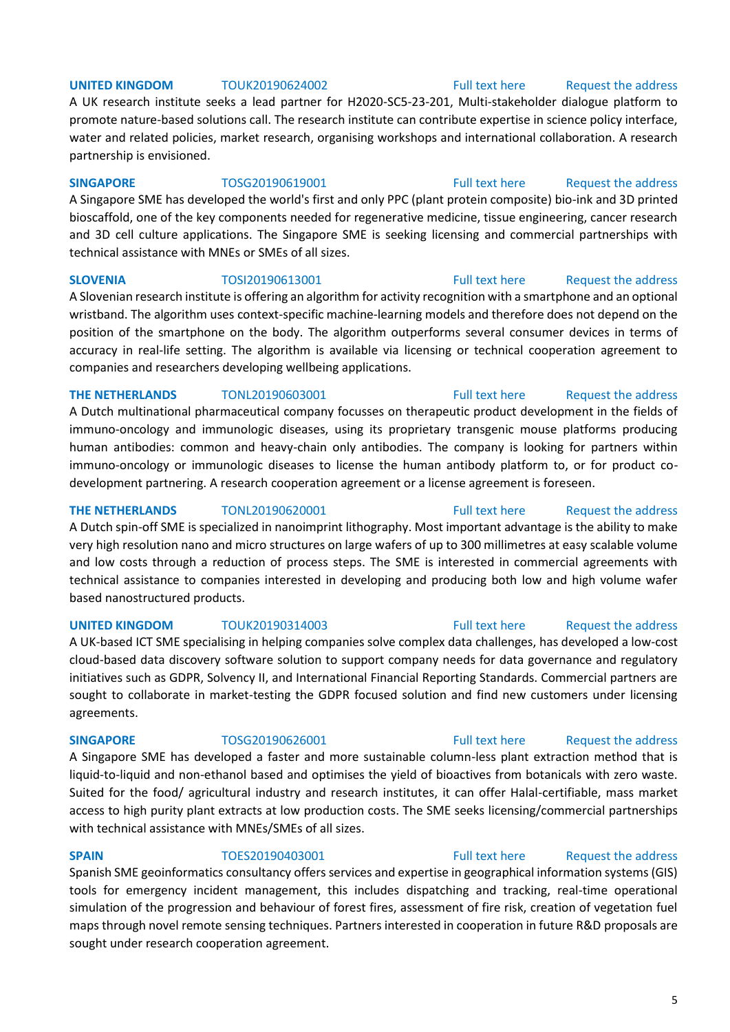## **UNITED KINGDOM** TOUK20190624002 **Full text here** Request the address

A UK research institute seeks a lead partner for H2020-SC5-23-201, Multi-stakeholder dialogue platform to promote nature-based solutions call. The research institute can contribute expertise in science policy interface, water and related policies, market research, organising workshops and international collaboration. A research partnership is envisioned.

## **SINGAPORE** TOSG20190619001 [Full text here](https://een.ec.europa.eu/tools/services/PRO/Profile/Detail/23a0f20d-a8ab-403c-9eaf-eff621d6336c) Request the address

A Singapore SME has developed the world's first and only PPC (plant protein composite) bio-ink and 3D printed bioscaffold, one of the key components needed for regenerative medicine, tissue engineering, cancer research and 3D cell culture applications. The Singapore SME is seeking licensing and commercial partnerships with technical assistance with MNEs or SMEs of all sizes.

**SLOVENIA** TOSI20190613001 [Full text here](https://een.ec.europa.eu/tools/services/PRO/Profile/Detail/bc4facd5-cfa5-4342-ad76-d8efccb67d2b) Request the address

A Slovenian research institute is offering an algorithm for activity recognition with a smartphone and an optional wristband. The algorithm uses context-specific machine-learning models and therefore does not depend on the position of the smartphone on the body. The algorithm outperforms several consumer devices in terms of accuracy in real-life setting. The algorithm is available via licensing or technical cooperation agreement to companies and researchers developing wellbeing applications.

## **THE NETHERLANDS** TONL20190603001 [Full text here](https://een.ec.europa.eu/tools/services/PRO/Profile/Detail/92a2f735-9eaf-4570-894d-b9a93940177e) Request the address

A Dutch multinational pharmaceutical company focusses on therapeutic product development in the fields of immuno-oncology and immunologic diseases, using its proprietary transgenic mouse platforms producing human antibodies: common and heavy-chain only antibodies. The company is looking for partners within immuno-oncology or immunologic diseases to license the human antibody platform to, or for product codevelopment partnering. A research cooperation agreement or a license agreement is foreseen.

## **THE NETHERLANDS** TONL20190620001 [Full text here](https://een.ec.europa.eu/tools/services/PRO/Profile/Detail/f972754f-e8d7-4bee-ab03-ecab1781061e) Request the address

A Dutch spin-off SME is specialized in nanoimprint lithography. Most important advantage is the ability to make very high resolution nano and micro structures on large wafers of up to 300 millimetres at easy scalable volume and low costs through a reduction of process steps. The SME is interested in commercial agreements with technical assistance to companies interested in developing and producing both low and high volume wafer based nanostructured products.

## A UK-based ICT SME specialising in helping companies solve complex data challenges, has developed a low-cost cloud-based data discovery software solution to support company needs for data governance and regulatory initiatives such as GDPR, Solvency II, and International Financial Reporting Standards. Commercial partners are sought to collaborate in market-testing the GDPR focused solution and find new customers under licensing agreements.

A Singapore SME has developed a faster and more sustainable column-less plant extraction method that is liquid-to-liquid and non-ethanol based and optimises the yield of bioactives from botanicals with zero waste. Suited for the food/ agricultural industry and research institutes, it can offer Halal-certifiable, mass market access to high purity plant extracts at low production costs. The SME seeks licensing/commercial partnerships with technical assistance with MNEs/SMEs of all sizes.

sought under research cooperation agreement.

**SPAIN** TOES20190403001 [Full text here](https://een.ec.europa.eu/tools/services/PRO/Profile/Detail/9150fa32-e5d1-49d9-b2a4-4424f9731dea) Request the address Spanish SME geoinformatics consultancy offers services and expertise in geographical information systems (GIS) tools for emergency incident management, this includes dispatching and tracking, real-time operational simulation of the progression and behaviour of forest fires, assessment of fire risk, creation of vegetation fuel

maps through novel remote sensing techniques. Partners interested in cooperation in future R&D proposals are

## **UNITED KINGDOM** TOUK20190314003 [Full text here](https://een.ec.europa.eu/tools/services/PRO/Profile/Detail/0195163e-4dce-4794-850a-e1832c46c6d2) Request the address

## **SINGAPORE** TOSG20190626001 [Full text here](https://een.ec.europa.eu/tools/services/PRO/Profile/Detail/8ca63db2-308e-4c55-b1c1-3cdbbdb501e2) Request the address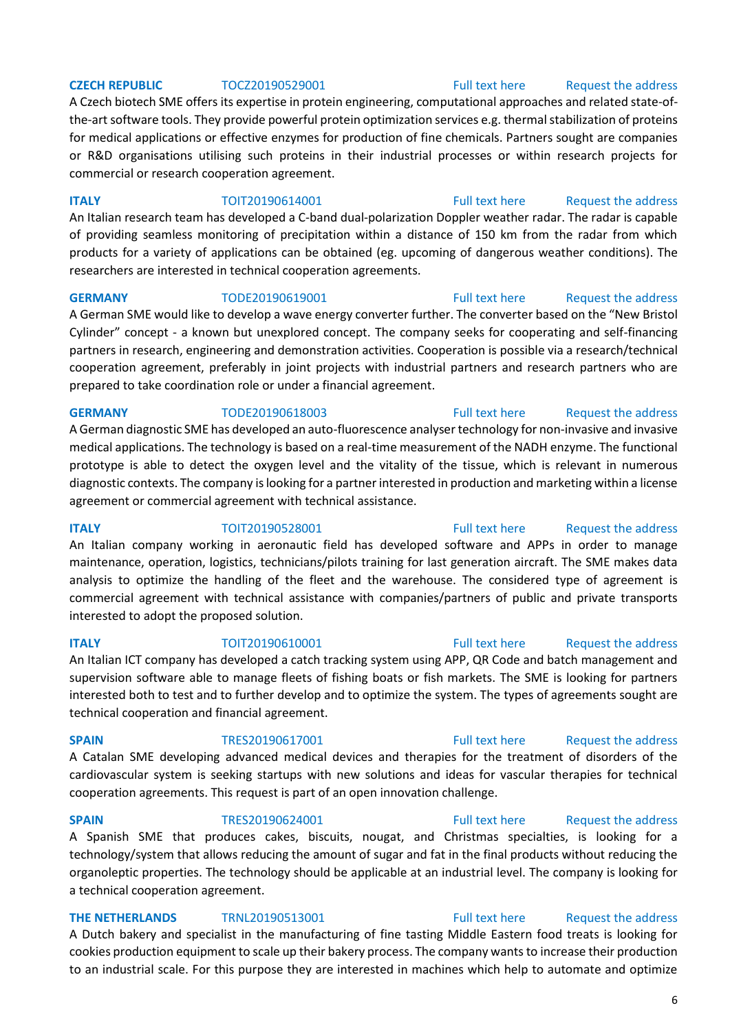A Czech biotech SME offers its expertise in protein engineering, computational approaches and related state-ofthe-art software tools. They provide powerful protein optimization services e.g. thermal stabilization of proteins for medical applications or effective enzymes for production of fine chemicals. Partners sought are companies or R&D organisations utilising such proteins in their industrial processes or within research projects for commercial or research cooperation agreement.

**ITALY TOIT20190614001** [Full text here](https://een.ec.europa.eu/tools/services/PRO/Profile/Detail/23efb1cb-6cfd-4fda-a035-4717bdd6ebe5) Request the address

An Italian research team has developed a C-band dual-polarization Doppler weather radar. The radar is capable of providing seamless monitoring of precipitation within a distance of 150 km from the radar from which products for a variety of applications can be obtained (eg. upcoming of dangerous weather conditions). The researchers are interested in technical cooperation agreements.

A German SME would like to develop a wave energy converter further. The converter based on the "New Bristol Cylinder" concept - a known but unexplored concept. The company seeks for cooperating and self-financing partners in research, engineering and demonstration activities. Cooperation is possible via a research/technical cooperation agreement, preferably in joint projects with industrial partners and research partners who are prepared to take coordination role or under a financial agreement.

## **GERMANY TODE20190618003** [Full text here](https://een.ec.europa.eu/tools/services/PRO/Profile/Detail/36cc8283-dd57-4798-8361-eb35218b4689) Request the address

A German diagnostic SME has developed an auto-fluorescence analyser technology for non-invasive and invasive medical applications. The technology is based on a real-time measurement of the NADH enzyme. The functional prototype is able to detect the oxygen level and the vitality of the tissue, which is relevant in numerous diagnostic contexts. The company is looking for a partner interested in production and marketing within a license agreement or commercial agreement with technical assistance.

**ITALY TOIT20190528001** [Full text here](https://een.ec.europa.eu/tools/services/PRO/Profile/Detail/ca3b41b6-6236-4c07-918f-2db2d2ec3c31) Request the address An Italian company working in aeronautic field has developed software and APPs in order to manage maintenance, operation, logistics, technicians/pilots training for last generation aircraft. The SME makes data analysis to optimize the handling of the fleet and the warehouse. The considered type of agreement is commercial agreement with technical assistance with companies/partners of public and private transports interested to adopt the proposed solution.

An Italian ICT company has developed a catch tracking system using APP, QR Code and batch management and supervision software able to manage fleets of fishing boats or fish markets. The SME is looking for partners interested both to test and to further develop and to optimize the system. The types of agreements sought are technical cooperation and financial agreement.

A Catalan SME developing advanced medical devices and therapies for the treatment of disorders of the cardiovascular system is seeking startups with new solutions and ideas for vascular therapies for technical cooperation agreements. This request is part of an open innovation challenge.

**SPAIN** TRES20190624001 [Full text here](https://een.ec.europa.eu/tools/services/PRO/Profile/Detail/1caa9ecd-90ca-4ccd-8dfe-446b9a890fce) Request the address A Spanish SME that produces cakes, biscuits, nougat, and Christmas specialties, is looking for a technology/system that allows reducing the amount of sugar and fat in the final products without reducing the organoleptic properties. The technology should be applicable at an industrial level. The company is looking for a technical cooperation agreement.

## **THE NETHERLANDS** TRNL20190513001 [Full text here](https://een.ec.europa.eu/tools/services/PRO/Profile/Detail/cb3f4878-e1b8-4f6c-a587-e5ff8a66a69c) Request the address

A Dutch bakery and specialist in the manufacturing of fine tasting Middle Eastern food treats is looking for cookies production equipment to scale up their bakery process. The company wants to increase their production to an industrial scale. For this purpose they are interested in machines which help to automate and optimize

## **CZECH REPUBLIC** TOCZ20190529001 [Full text here](https://een.ec.europa.eu/tools/services/PRO/Profile/Detail/ed1a942e-078c-433c-ac3c-edc6ca306bce) Request the address

## **GERMANY** TODE20190619001 [Full text here](https://een.ec.europa.eu/tools/services/PRO/Profile/Detail/d59f5f2a-432e-4127-bbcb-43441e80e0ed) Request the address

## **ITALY TOIT20190610001** [Full text here](https://een.ec.europa.eu/tools/services/PRO/Profile/Detail/355bb6b9-b5c9-46b5-bf8a-547e44081f7e) Request the address

## **SPAIN** TRES20190617001 [Full text here](https://een.ec.europa.eu/tools/services/PRO/Profile/Detail/fd8fa10a-3ec1-4d48-af16-ca114ae10ba3) Request the address